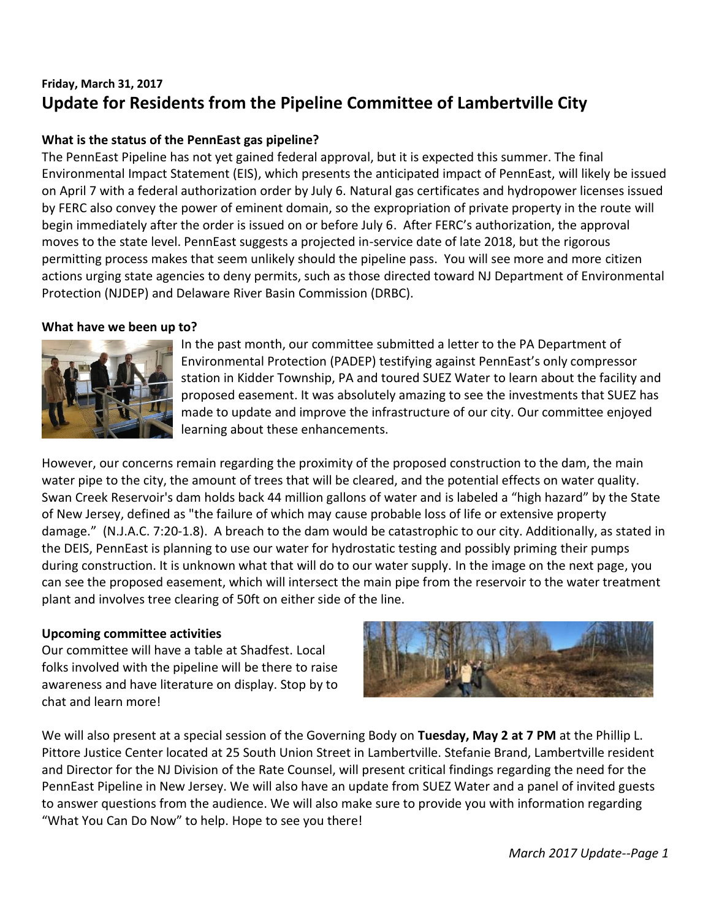# **Friday, March 31, 2017 Update for Residents from the Pipeline Committee of Lambertville City**

## **What is the status of the PennEast gas pipeline?**

The PennEast Pipeline has not yet gained federal approval, but it is expected this summer. The final Environmental Impact Statement (EIS), which presents the anticipated impact of PennEast, will likely be issued on April 7 with a federal authorization order by July 6. Natural gas certificates and hydropower licenses issued by FERC also convey the power of eminent domain, so the expropriation of private property in the route will begin immediately after the order is issued on or before July 6. After FERC's authorization, the approval moves to the state level. PennEast suggests a projected in-service date of late 2018, but the rigorous permitting process makes that seem unlikely should the pipeline pass. You will see more and more citizen actions urging state agencies to deny permits, such as those directed toward NJ Department of Environmental Protection (NJDEP) and Delaware River Basin Commission (DRBC).

#### **What have we been up to?**



In the past month, our committee submitted a letter to the PA Department of Environmental Protection (PADEP) testifying against PennEast's only compressor station in Kidder Township, PA and toured SUEZ Water to learn about the facility and proposed easement. It was absolutely amazing to see the investments that SUEZ has made to update and improve the infrastructure of our city. Our committee enjoyed learning about these enhancements.

However, our concerns remain regarding the proximity of the proposed construction to the dam, the main water pipe to the city, the amount of trees that will be cleared, and the potential effects on water quality. Swan Creek Reservoir's dam holds back 44 million gallons of water and is labeled a "high hazard" by the State of New Jersey, defined as "the failure of which may cause probable loss of life or extensive property damage." (N.J.A.C. 7:20-1.8). A breach to the dam would be catastrophic to our city. Additionally, as stated in the DEIS, PennEast is planning to use our water for hydrostatic testing and possibly priming their pumps during construction. It is unknown what that will do to our water supply. In the image on the next page, you can see the proposed easement, which will intersect the main pipe from the reservoir to the water treatment plant and involves tree clearing of 50ft on either side of the line.

## **Upcoming committee activities**

Our committee will have a table at Shadfest. Local folks involved with the pipeline will be there to raise awareness and have literature on display. Stop by to chat and learn more!



We will also present at a special session of the Governing Body on **Tuesday, May 2 at 7 PM** at the Phillip L. Pittore Justice Center located at 25 South Union Street in Lambertville. Stefanie Brand, Lambertville resident and Director for the NJ Division of the Rate Counsel, will present critical findings regarding the need for the PennEast Pipeline in New Jersey. We will also have an update from SUEZ Water and a panel of invited guests to answer questions from the audience. We will also make sure to provide you with information regarding "What You Can Do Now" to help. Hope to see you there!